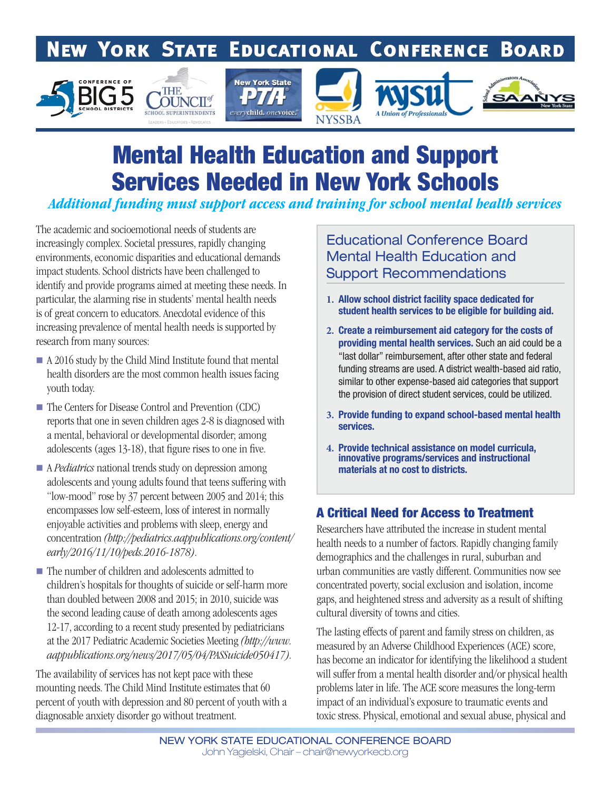#### **NEW YORK STATE EDUCATIONAL CONFERENCE BOARD**



# Mental Health Education and Support Services Needed in New York Schools

*Additional funding must support access and training for school mental health services*

The academic and socioemotional needs of students are increasingly complex. Societal pressures, rapidly changing environments, economic disparities and educational demands impact students. School districts have been challenged to identify and provide programs aimed at meeting these needs. In particular, the alarming rise in students' mental health needs is of great concern to educators. Anecdotal evidence of this increasing prevalence of mental health needs is supported by research from many sources:

- A 2016 study by the Child Mind Institute found that mental health disorders are the most common health issues facing youth today.
- The Centers for Disease Control and Prevention (CDC) reports that one in seven children ages 2-8 is diagnosed with a mental, behavioral or developmental disorder; among adolescents (ages 13-18), that figure rises to one in five.
- A *Pediatrics* national trends study on depression among adolescents and young adults found that teens suffering with "low-mood" rose by 37 percent between 2005 and 2014; this encompasses low self-esteem, loss of interest in normally enjoyable activities and problems with sleep, energy and concentration (http://pediatrics.aappublications.org/content/ early/2016/11/10/peds.2016-1878).
- The number of children and adolescents admitted to children's hospitals for thoughts of suicide or self-harm more than doubled between 2008 and 2015; in 2010, suicide was the second leading cause of death among adolescents ages 12-17, according to a recent study presented by pediatricians at the 2017 Pediatric Academic Societies Meeting (http://www. aappublications.org/news/2017/05/04/PASSuicide050417).

The availability of services has not kept pace with these mounting needs. The Child Mind Institute estimates that 60 percent of youth with depression and 80 percent of youth with a diagnosable anxiety disorder go without treatment.

## Educational Conference Board Mental Health Education and Support Recommendations

- **1.** Allow school district facility space dedicated for student health services to be eligible for building aid.
- **2.** Create a reimbursement aid category for the costs of providing mental health services. Such an aid could be a "last dollar" reimbursement, after other state and federal funding streams are used. A district wealth-based aid ratio, similar to other expense-based aid categories that support the provision of direct student services, could be utilized.
- **3.** Provide funding to expand school-based mental health services.
- **4.** Provide tech**n**ical assistance on model curricula, innovative programs/services and instructional materials at no cost to districts.

## A Critical Need for Access to Treatment

Researchers have attributed the increase in student mental health needs to a number of factors. Rapidly changing family demographics and the challenges in rural, suburban and urban communities are vastly different. Communities now see concentrated poverty, social exclusion and isolation, income gaps, and heightened stress and adversity as a result of shifting cultural diversity of towns and cities.

The lasting effects of parent and family stress on children, as measured by an Adverse Childhood Experiences (ACE) score, has become an indicator for identifying the likelihood a student will suffer from a mental health disorder and/or physical health problems later in life. The ACE score measures the long-term impact of an individual's exposure to traumatic events and toxic stress. Physical, emotional and sexual abuse, physical and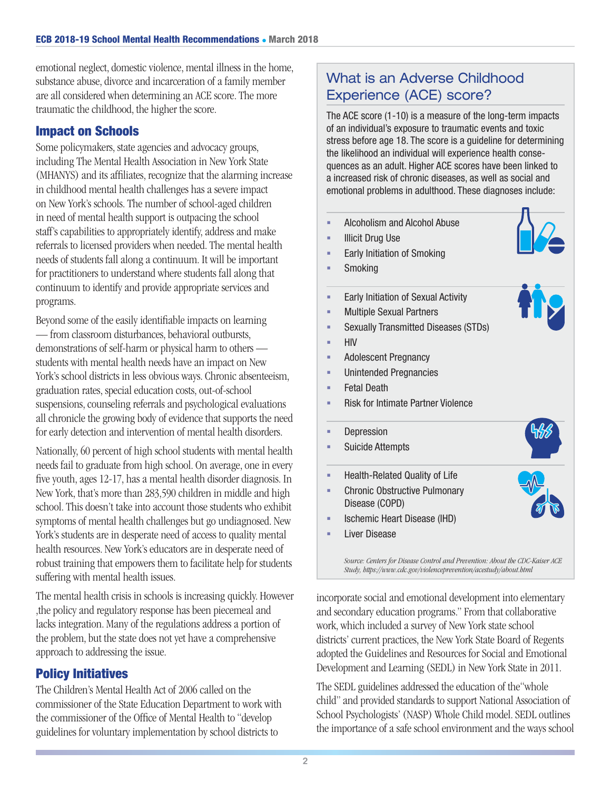emotional neglect, domestic violence, mental illness in the home, substance abuse, divorce and incarceration of a family member are all considered when determining an ACE score. The more traumatic the childhood, the higher the score.

### Impact on Schools

Some policymakers, state agencies and advocacy groups, including The Mental Health Association in New York State (MHANYS) and its affiliates, recognize that the alarming increase in childhood mental health challenges has a severe impact on New York's schools. The number of school-aged children in need of mental health support is outpacing the school staff's capabilities to appropriately identify, address and make referrals to licensed providers when needed. The mental health needs of students fall along a continuum. It will be important for practitioners to understand where students fall along that continuum to identify and provide appropriate services and programs.

Beyond some of the easily identifiable impacts on learning — from classroom disturbances, behavioral outbursts, demonstrations of self-harm or physical harm to others students with mental health needs have an impact on New York's school districts in less obvious ways. Chronic absenteeism, graduation rates, special education costs, out-of-school suspensions, counseling referrals and psychological evaluations all chronicle the growing body of evidence that supports the need for early detection and intervention of mental health disorders.

Nationally, 60 percent of high school students with mental health needs fail to graduate from high school. On average, one in every five youth, ages 12-17, has a mental health disorder diagnosis. In New York, that's more than 283,590 children in middle and high school. This doesn't take into account those students who exhibit symptoms of mental health challenges but go undiagnosed. New York's students are in desperate need of access to quality mental health resources. New York's educators are in desperate need of robust training that empowers them to facilitate help for students suffering with mental health issues.

The mental health crisis in schools is increasing quickly. However ,the policy and regulatory response has been piecemeal and lacks integration. Many of the regulations address a portion of the problem, but the state does not yet have a comprehensive approach to addressing the issue.

## Policy Initiatives

The Children's Mental Health Act of 2006 called on the commissioner of the State Education Department to work with the commissioner of the Office of Mental Health to "develop" guidelines for voluntary implementation by school districts to

# What is an Adverse Childhood Experience (ACE) score?

The ACE score (1-10) is a measure of the long-term impacts of an individual's exposure to traumatic events and toxic stress before age 18. The score is a guideline for determining the likelihood an individual will experience health consequences as an adult. Higher ACE scores have been linked to a increased risk of chronic diseases, as well as social and emotional problems in adulthood. These diagnoses include:

- **Alcoholism and Alcohol Abuse**
- **Illicit Drug Use**
- Early Initiation of Smoking
- **Smoking**
- **Early Initiation of Sexual Activity**
- **Multiple Sexual Partners**
- Sexually Transmitted Diseases (STDs)
- $-HIV$
- **Adolescent Pregnancy**
- Unintended Pregnancies
- Fetal Death
- Risk for Intimate Partner Violence
- **Depression**
- Suicide Attempts
- Health-Related Quality of Life



Liver Disease

Source: Centers for Disease Control and Prevention: About the CDC-Kaiser ACE Study, https://www.cdc.gov/violenceprevention/acestudy/about.html

incorporate social and emotional development into elementary and secondary education programs." From that collaborative work, which included a survey of New York state school districts' current practices, the New York State Board of Regents adopted the Guidelines and Resources for Social and Emotional Development and Learning (SEDL) in New York State in 2011.

The SEDL guidelines addressed the education of the"whole child" and provided standards to support National Association of School Psychologists' (NASP) Whole Child model. SEDL outlines the importance of a safe school environment and the ways school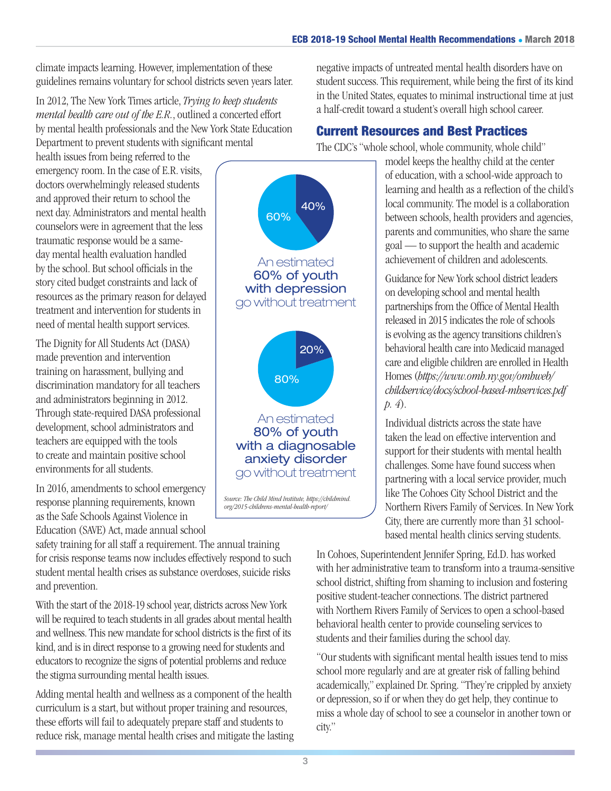climate impacts learning. However, implementation of these guidelines remains voluntary for school districts seven years later.

In 2012, The New York Times article, Trying to keep students mental health care out of the E.R., outlined a concerted effort by mental health professionals and the New York State Education Department to prevent students with significant mental

health issues from being referred to the emergency room. In the case of E.R. visits, doctors overwhelmingly released students and approved their return to school the next day. Administrators and mental health counselors were in agreement that the less traumatic response would be a sameday mental health evaluation handled by the school. But school officials in the story cited budget constraints and lack of resources as the primary reason for delayed treatment and intervention for students in need of mental health support services.

The Dignity for All Students Act (DASA) made prevention and intervention training on harassment, bullying and discrimination mandatory for all teachers and administrators beginning in 2012. Through state-required DASA professional development, school administrators and teachers are equipped with the tools to create and maintain positive school environments for all students.

In 2016, amendments to school emergency response planning requirements, known as the Safe Schools Against Violence in Education (SAVE) Act, made annual school

safety training for all staff a requirement. The annual training for crisis response teams now includes effectively respond to such student mental health crises as substance overdoses, suicide risks and prevention.

With the start of the 2018-19 school year, districts across New York will be required to teach students in all grades about mental health and wellness. This new mandate for school districts is the first of its kind, and is in direct response to a growing need for students and educators to recognize the signs of potential problems and reduce the stigma surrounding mental health issues.

Adding mental health and wellness as a component of the health curriculum is a start, but without proper training and resources, these efforts will fail to adequately prepare staff and students to reduce risk, manage mental health crises and mitigate the lasting

60% 40% An estimated 60% of youth with depression go without treatment 80% 20% An estimated 80% of youth with a diagnosable anxiety disorder go without treatment

Source: The Child Mind Institute, https://childmind. org/2015-childrens-mental-health-report/

negative impacts of untreated mental health disorders have on student success. This requirement, while being the first of its kind in the United States, equates to minimal instructional time at just a half-credit toward a student's overall high school career.

# Current Resources and Best Practices

The CDC's "whole school, whole community, whole child"

model keeps the healthy child at the center of education, with a school-wide approach to learning and health as a reflection of the child's local community. The model is a collaboration between schools, health providers and agencies, parents and communities, who share the same goal — to support the health and academic achievement of children and adolescents.

Guidance for New York school district leaders on developing school and mental health partnerships from the Office of Mental Health released in 2015 indicates the role of schools is evolving as the agency transitions children's behavioral health care into Medicaid managed care and eligible children are enrolled in Health Homes (https://www.omh.ny.gov/omhweb/ childservice/docs/school-based-mhservices.pdf p. 4).

Individual districts across the state have taken the lead on effective intervention and support for their students with mental health challenges. Some have found success when partnering with a local service provider, much like The Cohoes City School District and the Northern Rivers Family of Services. In New York City, there are currently more than 31 schoolbased mental health clinics serving students.

In Cohoes, Superintendent Jennifer Spring, Ed.D. has worked with her administrative team to transform into a trauma-sensitive school district, shifting from shaming to inclusion and fostering positive student-teacher connections. The district partnered with Northern Rivers Family of Services to open a school-based behavioral health center to provide counseling services to students and their families during the school day.

"Our students with significant mental health issues tend to miss school more regularly and are at greater risk of falling behind academically," explained Dr. Spring. "They're crippled by anxiety or depression, so if or when they do get help, they continue to miss a whole day of school to see a counselor in another town or city."